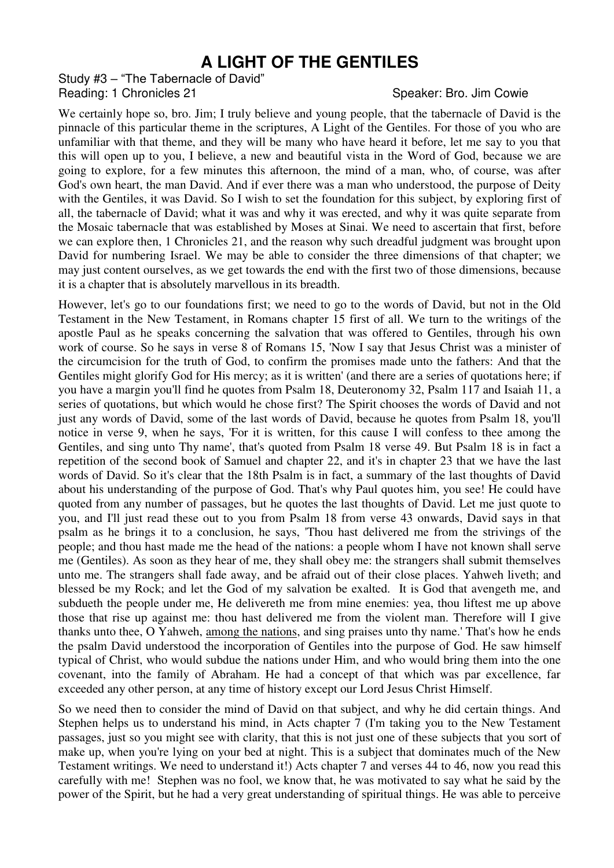## **A LIGHT OF THE GENTILES**

Study #3 – "The Tabernacle of David" Reading: 1 Chronicles 21 Speaker: Bro. Jim Cowie

We certainly hope so, bro. Jim; I truly believe and young people, that the tabernacle of David is the pinnacle of this particular theme in the scriptures, A Light of the Gentiles. For those of you who are unfamiliar with that theme, and they will be many who have heard it before, let me say to you that this will open up to you, I believe, a new and beautiful vista in the Word of God, because we are going to explore, for a few minutes this afternoon, the mind of a man, who, of course, was after God's own heart, the man David. And if ever there was a man who understood, the purpose of Deity with the Gentiles, it was David. So I wish to set the foundation for this subject, by exploring first of all, the tabernacle of David; what it was and why it was erected, and why it was quite separate from the Mosaic tabernacle that was established by Moses at Sinai. We need to ascertain that first, before we can explore then, 1 Chronicles 21, and the reason why such dreadful judgment was brought upon David for numbering Israel. We may be able to consider the three dimensions of that chapter; we may just content ourselves, as we get towards the end with the first two of those dimensions, because it is a chapter that is absolutely marvellous in its breadth.

However, let's go to our foundations first; we need to go to the words of David, but not in the Old Testament in the New Testament, in Romans chapter 15 first of all. We turn to the writings of the apostle Paul as he speaks concerning the salvation that was offered to Gentiles, through his own work of course. So he says in verse 8 of Romans 15, 'Now I say that Jesus Christ was a minister of the circumcision for the truth of God, to confirm the promises made unto the fathers: And that the Gentiles might glorify God for His mercy; as it is written' (and there are a series of quotations here; if you have a margin you'll find he quotes from Psalm 18, Deuteronomy 32, Psalm 117 and Isaiah 11, a series of quotations, but which would he chose first? The Spirit chooses the words of David and not just any words of David, some of the last words of David, because he quotes from Psalm 18, you'll notice in verse 9, when he says, 'For it is written, for this cause I will confess to thee among the Gentiles, and sing unto Thy name', that's quoted from Psalm 18 verse 49. But Psalm 18 is in fact a repetition of the second book of Samuel and chapter 22, and it's in chapter 23 that we have the last words of David. So it's clear that the 18th Psalm is in fact, a summary of the last thoughts of David about his understanding of the purpose of God. That's why Paul quotes him, you see! He could have quoted from any number of passages, but he quotes the last thoughts of David. Let me just quote to you, and I'll just read these out to you from Psalm 18 from verse 43 onwards, David says in that psalm as he brings it to a conclusion, he says, 'Thou hast delivered me from the strivings of the people; and thou hast made me the head of the nations: a people whom I have not known shall serve me (Gentiles). As soon as they hear of me, they shall obey me: the strangers shall submit themselves unto me. The strangers shall fade away, and be afraid out of their close places. Yahweh liveth; and blessed be my Rock; and let the God of my salvation be exalted. It is God that avengeth me, and subdueth the people under me, He delivereth me from mine enemies: yea, thou liftest me up above those that rise up against me: thou hast delivered me from the violent man. Therefore will I give thanks unto thee, O Yahweh, among the nations, and sing praises unto thy name.' That's how he ends the psalm David understood the incorporation of Gentiles into the purpose of God. He saw himself typical of Christ, who would subdue the nations under Him, and who would bring them into the one covenant, into the family of Abraham. He had a concept of that which was par excellence, far exceeded any other person, at any time of history except our Lord Jesus Christ Himself.

So we need then to consider the mind of David on that subject, and why he did certain things. And Stephen helps us to understand his mind, in Acts chapter 7 (I'm taking you to the New Testament passages, just so you might see with clarity, that this is not just one of these subjects that you sort of make up, when you're lying on your bed at night. This is a subject that dominates much of the New Testament writings. We need to understand it!) Acts chapter 7 and verses 44 to 46, now you read this carefully with me! Stephen was no fool, we know that, he was motivated to say what he said by the power of the Spirit, but he had a very great understanding of spiritual things. He was able to perceive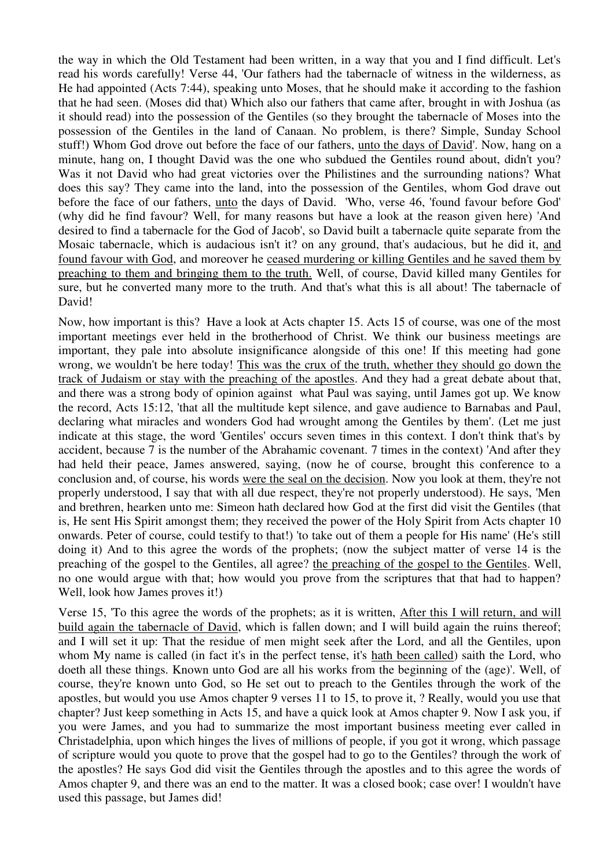the way in which the Old Testament had been written, in a way that you and I find difficult. Let's read his words carefully! Verse 44, 'Our fathers had the tabernacle of witness in the wilderness, as He had appointed (Acts 7:44), speaking unto Moses, that he should make it according to the fashion that he had seen. (Moses did that) Which also our fathers that came after, brought in with Joshua (as it should read) into the possession of the Gentiles (so they brought the tabernacle of Moses into the possession of the Gentiles in the land of Canaan. No problem, is there? Simple, Sunday School stuff!) Whom God drove out before the face of our fathers, unto the days of David'. Now, hang on a minute, hang on, I thought David was the one who subdued the Gentiles round about, didn't you? Was it not David who had great victories over the Philistines and the surrounding nations? What does this say? They came into the land, into the possession of the Gentiles, whom God drave out before the face of our fathers, unto the days of David. 'Who, verse 46, 'found favour before God' (why did he find favour? Well, for many reasons but have a look at the reason given here) 'And desired to find a tabernacle for the God of Jacob', so David built a tabernacle quite separate from the Mosaic tabernacle, which is audacious isn't it? on any ground, that's audacious, but he did it, and found favour with God, and moreover he ceased murdering or killing Gentiles and he saved them by preaching to them and bringing them to the truth. Well, of course, David killed many Gentiles for sure, but he converted many more to the truth. And that's what this is all about! The tabernacle of David!

Now, how important is this? Have a look at Acts chapter 15. Acts 15 of course, was one of the most important meetings ever held in the brotherhood of Christ. We think our business meetings are important, they pale into absolute insignificance alongside of this one! If this meeting had gone wrong, we wouldn't be here today! This was the crux of the truth, whether they should go down the track of Judaism or stay with the preaching of the apostles. And they had a great debate about that, and there was a strong body of opinion against what Paul was saying, until James got up. We know the record, Acts 15:12, 'that all the multitude kept silence, and gave audience to Barnabas and Paul, declaring what miracles and wonders God had wrought among the Gentiles by them'. (Let me just indicate at this stage, the word 'Gentiles' occurs seven times in this context. I don't think that's by accident, because 7 is the number of the Abrahamic covenant. 7 times in the context) 'And after they had held their peace, James answered, saying, (now he of course, brought this conference to a conclusion and, of course, his words were the seal on the decision. Now you look at them, they're not properly understood, I say that with all due respect, they're not properly understood). He says, 'Men and brethren, hearken unto me: Simeon hath declared how God at the first did visit the Gentiles (that is, He sent His Spirit amongst them; they received the power of the Holy Spirit from Acts chapter 10 onwards. Peter of course, could testify to that!) 'to take out of them a people for His name' (He's still doing it) And to this agree the words of the prophets; (now the subject matter of verse 14 is the preaching of the gospel to the Gentiles, all agree? the preaching of the gospel to the Gentiles. Well, no one would argue with that; how would you prove from the scriptures that that had to happen? Well, look how James proves it!)

Verse 15, 'To this agree the words of the prophets; as it is written, After this I will return, and will build again the tabernacle of David, which is fallen down; and I will build again the ruins thereof; and I will set it up: That the residue of men might seek after the Lord, and all the Gentiles, upon whom My name is called (in fact it's in the perfect tense, it's hath been called) saith the Lord, who doeth all these things. Known unto God are all his works from the beginning of the (age)'. Well, of course, they're known unto God, so He set out to preach to the Gentiles through the work of the apostles, but would you use Amos chapter 9 verses 11 to 15, to prove it, ? Really, would you use that chapter? Just keep something in Acts 15, and have a quick look at Amos chapter 9. Now I ask you, if you were James, and you had to summarize the most important business meeting ever called in Christadelphia, upon which hinges the lives of millions of people, if you got it wrong, which passage of scripture would you quote to prove that the gospel had to go to the Gentiles? through the work of the apostles? He says God did visit the Gentiles through the apostles and to this agree the words of Amos chapter 9, and there was an end to the matter. It was a closed book; case over! I wouldn't have used this passage, but James did!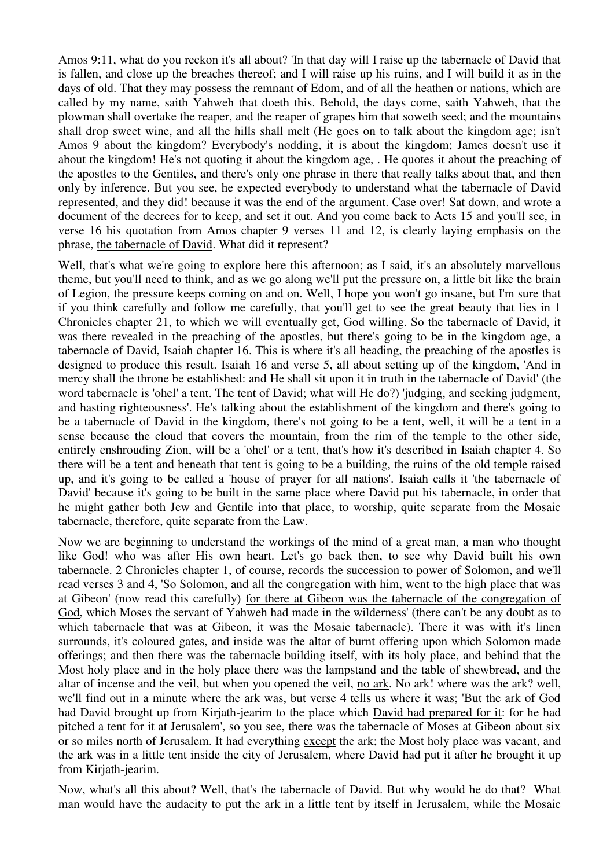Amos 9:11, what do you reckon it's all about? 'In that day will I raise up the tabernacle of David that is fallen, and close up the breaches thereof; and I will raise up his ruins, and I will build it as in the days of old. That they may possess the remnant of Edom, and of all the heathen or nations, which are called by my name, saith Yahweh that doeth this. Behold, the days come, saith Yahweh, that the plowman shall overtake the reaper, and the reaper of grapes him that soweth seed; and the mountains shall drop sweet wine, and all the hills shall melt (He goes on to talk about the kingdom age; isn't Amos 9 about the kingdom? Everybody's nodding, it is about the kingdom; James doesn't use it about the kingdom! He's not quoting it about the kingdom age, . He quotes it about the preaching of the apostles to the Gentiles, and there's only one phrase in there that really talks about that, and then only by inference. But you see, he expected everybody to understand what the tabernacle of David represented, and they did! because it was the end of the argument. Case over! Sat down, and wrote a document of the decrees for to keep, and set it out. And you come back to Acts 15 and you'll see, in verse 16 his quotation from Amos chapter 9 verses 11 and 12, is clearly laying emphasis on the phrase, the tabernacle of David. What did it represent?

Well, that's what we're going to explore here this afternoon; as I said, it's an absolutely marvellous theme, but you'll need to think, and as we go along we'll put the pressure on, a little bit like the brain of Legion, the pressure keeps coming on and on. Well, I hope you won't go insane, but I'm sure that if you think carefully and follow me carefully, that you'll get to see the great beauty that lies in 1 Chronicles chapter 21, to which we will eventually get, God willing. So the tabernacle of David, it was there revealed in the preaching of the apostles, but there's going to be in the kingdom age, a tabernacle of David, Isaiah chapter 16. This is where it's all heading, the preaching of the apostles is designed to produce this result. Isaiah 16 and verse 5, all about setting up of the kingdom, 'And in mercy shall the throne be established: and He shall sit upon it in truth in the tabernacle of David' (the word tabernacle is 'ohel' a tent. The tent of David; what will He do?) 'judging, and seeking judgment, and hasting righteousness'. He's talking about the establishment of the kingdom and there's going to be a tabernacle of David in the kingdom, there's not going to be a tent, well, it will be a tent in a sense because the cloud that covers the mountain, from the rim of the temple to the other side, entirely enshrouding Zion, will be a 'ohel' or a tent, that's how it's described in Isaiah chapter 4. So there will be a tent and beneath that tent is going to be a building, the ruins of the old temple raised up, and it's going to be called a 'house of prayer for all nations'. Isaiah calls it 'the tabernacle of David' because it's going to be built in the same place where David put his tabernacle, in order that he might gather both Jew and Gentile into that place, to worship, quite separate from the Mosaic tabernacle, therefore, quite separate from the Law.

Now we are beginning to understand the workings of the mind of a great man, a man who thought like God! who was after His own heart. Let's go back then, to see why David built his own tabernacle. 2 Chronicles chapter 1, of course, records the succession to power of Solomon, and we'll read verses 3 and 4, 'So Solomon, and all the congregation with him, went to the high place that was at Gibeon' (now read this carefully) for there at Gibeon was the tabernacle of the congregation of God, which Moses the servant of Yahweh had made in the wilderness' (there can't be any doubt as to which tabernacle that was at Gibeon, it was the Mosaic tabernacle). There it was with it's linen surrounds, it's coloured gates, and inside was the altar of burnt offering upon which Solomon made offerings; and then there was the tabernacle building itself, with its holy place, and behind that the Most holy place and in the holy place there was the lampstand and the table of shewbread, and the altar of incense and the veil, but when you opened the veil, no ark. No ark! where was the ark? well, we'll find out in a minute where the ark was, but verse 4 tells us where it was; 'But the ark of God had David brought up from Kirjath-jearim to the place which David had prepared for it: for he had pitched a tent for it at Jerusalem', so you see, there was the tabernacle of Moses at Gibeon about six or so miles north of Jerusalem. It had everything except the ark; the Most holy place was vacant, and the ark was in a little tent inside the city of Jerusalem, where David had put it after he brought it up from Kirjath-jearim.

Now, what's all this about? Well, that's the tabernacle of David. But why would he do that? What man would have the audacity to put the ark in a little tent by itself in Jerusalem, while the Mosaic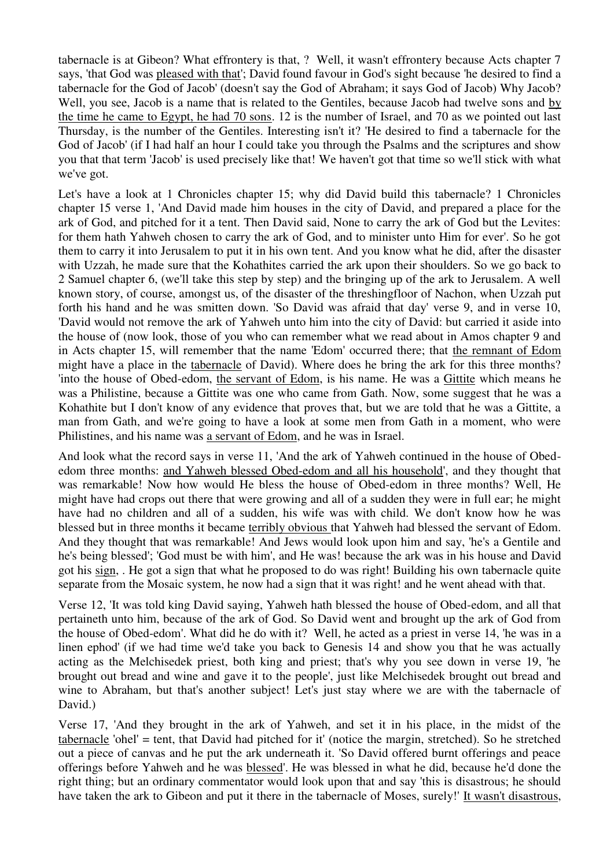tabernacle is at Gibeon? What effrontery is that, ? Well, it wasn't effrontery because Acts chapter 7 says, 'that God was pleased with that'; David found favour in God's sight because 'he desired to find a tabernacle for the God of Jacob' (doesn't say the God of Abraham; it says God of Jacob) Why Jacob? Well, you see, Jacob is a name that is related to the Gentiles, because Jacob had twelve sons and by the time he came to Egypt, he had 70 sons. 12 is the number of Israel, and 70 as we pointed out last Thursday, is the number of the Gentiles. Interesting isn't it? 'He desired to find a tabernacle for the God of Jacob' (if I had half an hour I could take you through the Psalms and the scriptures and show you that that term 'Jacob' is used precisely like that! We haven't got that time so we'll stick with what we've got.

Let's have a look at 1 Chronicles chapter 15; why did David build this tabernacle? 1 Chronicles chapter 15 verse 1, 'And David made him houses in the city of David, and prepared a place for the ark of God, and pitched for it a tent. Then David said, None to carry the ark of God but the Levites: for them hath Yahweh chosen to carry the ark of God, and to minister unto Him for ever'. So he got them to carry it into Jerusalem to put it in his own tent. And you know what he did, after the disaster with Uzzah, he made sure that the Kohathites carried the ark upon their shoulders. So we go back to 2 Samuel chapter 6, (we'll take this step by step) and the bringing up of the ark to Jerusalem. A well known story, of course, amongst us, of the disaster of the threshingfloor of Nachon, when Uzzah put forth his hand and he was smitten down. 'So David was afraid that day' verse 9, and in verse 10, 'David would not remove the ark of Yahweh unto him into the city of David: but carried it aside into the house of (now look, those of you who can remember what we read about in Amos chapter 9 and in Acts chapter 15, will remember that the name 'Edom' occurred there; that the remnant of Edom might have a place in the tabernacle of David). Where does he bring the ark for this three months? 'into the house of Obed-edom, the servant of Edom, is his name. He was a Gittite which means he was a Philistine, because a Gittite was one who came from Gath. Now, some suggest that he was a Kohathite but I don't know of any evidence that proves that, but we are told that he was a Gittite, a man from Gath, and we're going to have a look at some men from Gath in a moment, who were Philistines, and his name was a servant of Edom, and he was in Israel.

And look what the record says in verse 11, 'And the ark of Yahweh continued in the house of Obededom three months: and Yahweh blessed Obed-edom and all his household', and they thought that was remarkable! Now how would He bless the house of Obed-edom in three months? Well, He might have had crops out there that were growing and all of a sudden they were in full ear; he might have had no children and all of a sudden, his wife was with child. We don't know how he was blessed but in three months it became terribly obvious that Yahweh had blessed the servant of Edom. And they thought that was remarkable! And Jews would look upon him and say, 'he's a Gentile and he's being blessed'; 'God must be with him', and He was! because the ark was in his house and David got his sign, . He got a sign that what he proposed to do was right! Building his own tabernacle quite separate from the Mosaic system, he now had a sign that it was right! and he went ahead with that.

Verse 12, 'It was told king David saying, Yahweh hath blessed the house of Obed-edom, and all that pertaineth unto him, because of the ark of God. So David went and brought up the ark of God from the house of Obed-edom'. What did he do with it? Well, he acted as a priest in verse 14, 'he was in a linen ephod' (if we had time we'd take you back to Genesis 14 and show you that he was actually acting as the Melchisedek priest, both king and priest; that's why you see down in verse 19, 'he brought out bread and wine and gave it to the people', just like Melchisedek brought out bread and wine to Abraham, but that's another subject! Let's just stay where we are with the tabernacle of David.)

Verse 17, 'And they brought in the ark of Yahweh, and set it in his place, in the midst of the tabernacle 'ohel' = tent, that David had pitched for it' (notice the margin, stretched). So he stretched out a piece of canvas and he put the ark underneath it. 'So David offered burnt offerings and peace offerings before Yahweh and he was blessed'. He was blessed in what he did, because he'd done the right thing; but an ordinary commentator would look upon that and say 'this is disastrous; he should have taken the ark to Gibeon and put it there in the tabernacle of Moses, surely!' It wasn't disastrous,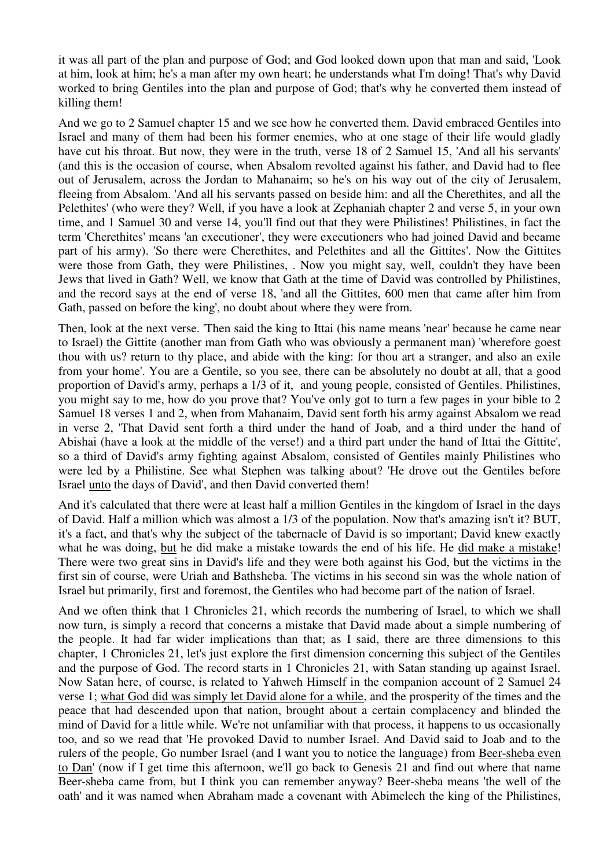it was all part of the plan and purpose of God; and God looked down upon that man and said, 'Look at him, look at him; he's a man after my own heart; he understands what I'm doing! That's why David worked to bring Gentiles into the plan and purpose of God; that's why he converted them instead of killing them!

And we go to 2 Samuel chapter 15 and we see how he converted them. David embraced Gentiles into Israel and many of them had been his former enemies, who at one stage of their life would gladly have cut his throat. But now, they were in the truth, verse 18 of 2 Samuel 15, 'And all his servants' (and this is the occasion of course, when Absalom revolted against his father, and David had to flee out of Jerusalem, across the Jordan to Mahanaim; so he's on his way out of the city of Jerusalem, fleeing from Absalom. 'And all his servants passed on beside him: and all the Cherethites, and all the Pelethites' (who were they? Well, if you have a look at Zephaniah chapter 2 and verse 5, in your own time, and 1 Samuel 30 and verse 14, you'll find out that they were Philistines! Philistines, in fact the term 'Cherethites' means 'an executioner', they were executioners who had joined David and became part of his army). 'So there were Cherethites, and Pelethites and all the Gittites'. Now the Gittites were those from Gath, they were Philistines, . Now you might say, well, couldn't they have been Jews that lived in Gath? Well, we know that Gath at the time of David was controlled by Philistines, and the record says at the end of verse 18, 'and all the Gittites, 600 men that came after him from Gath, passed on before the king', no doubt about where they were from.

Then, look at the next verse. 'Then said the king to Ittai (his name means 'near' because he came near to Israel) the Gittite (another man from Gath who was obviously a permanent man) 'wherefore goest thou with us? return to thy place, and abide with the king: for thou art a stranger, and also an exile from your home'. You are a Gentile, so you see, there can be absolutely no doubt at all, that a good proportion of David's army, perhaps a 1/3 of it, and young people, consisted of Gentiles. Philistines, you might say to me, how do you prove that? You've only got to turn a few pages in your bible to 2 Samuel 18 verses 1 and 2, when from Mahanaim, David sent forth his army against Absalom we read in verse 2, 'That David sent forth a third under the hand of Joab, and a third under the hand of Abishai (have a look at the middle of the verse!) and a third part under the hand of Ittai the Gittite', so a third of David's army fighting against Absalom, consisted of Gentiles mainly Philistines who were led by a Philistine. See what Stephen was talking about? 'He drove out the Gentiles before Israel unto the days of David', and then David converted them!

And it's calculated that there were at least half a million Gentiles in the kingdom of Israel in the days of David. Half a million which was almost a 1/3 of the population. Now that's amazing isn't it? BUT, it's a fact, and that's why the subject of the tabernacle of David is so important; David knew exactly what he was doing, but he did make a mistake towards the end of his life. He did make a mistake! There were two great sins in David's life and they were both against his God, but the victims in the first sin of course, were Uriah and Bathsheba. The victims in his second sin was the whole nation of Israel but primarily, first and foremost, the Gentiles who had become part of the nation of Israel.

And we often think that 1 Chronicles 21, which records the numbering of Israel, to which we shall now turn, is simply a record that concerns a mistake that David made about a simple numbering of the people. It had far wider implications than that; as I said, there are three dimensions to this chapter, 1 Chronicles 21, let's just explore the first dimension concerning this subject of the Gentiles and the purpose of God. The record starts in 1 Chronicles 21, with Satan standing up against Israel. Now Satan here, of course, is related to Yahweh Himself in the companion account of 2 Samuel 24 verse 1; what God did was simply let David alone for a while, and the prosperity of the times and the peace that had descended upon that nation, brought about a certain complacency and blinded the mind of David for a little while. We're not unfamiliar with that process, it happens to us occasionally too, and so we read that 'He provoked David to number Israel. And David said to Joab and to the rulers of the people, Go number Israel (and I want you to notice the language) from Beer-sheba even to Dan' (now if I get time this afternoon, we'll go back to Genesis 21 and find out where that name Beer-sheba came from, but I think you can remember anyway? Beer-sheba means 'the well of the oath' and it was named when Abraham made a covenant with Abimelech the king of the Philistines,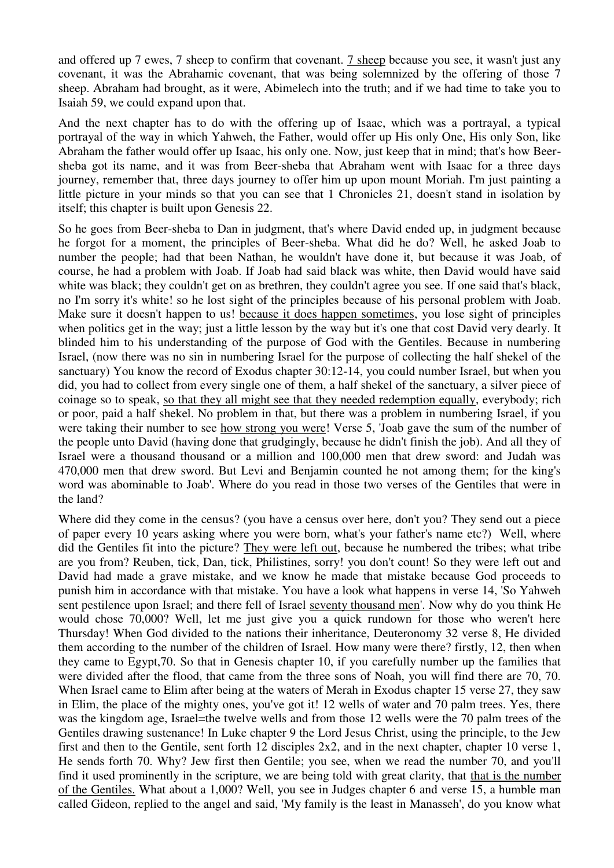and offered up 7 ewes, 7 sheep to confirm that covenant. 7 sheep because you see, it wasn't just any covenant, it was the Abrahamic covenant, that was being solemnized by the offering of those 7 sheep. Abraham had brought, as it were, Abimelech into the truth; and if we had time to take you to Isaiah 59, we could expand upon that.

And the next chapter has to do with the offering up of Isaac, which was a portrayal, a typical portrayal of the way in which Yahweh, the Father, would offer up His only One, His only Son, like Abraham the father would offer up Isaac, his only one. Now, just keep that in mind; that's how Beersheba got its name, and it was from Beer-sheba that Abraham went with Isaac for a three days journey, remember that, three days journey to offer him up upon mount Moriah. I'm just painting a little picture in your minds so that you can see that 1 Chronicles 21, doesn't stand in isolation by itself; this chapter is built upon Genesis 22.

So he goes from Beer-sheba to Dan in judgment, that's where David ended up, in judgment because he forgot for a moment, the principles of Beer-sheba. What did he do? Well, he asked Joab to number the people; had that been Nathan, he wouldn't have done it, but because it was Joab, of course, he had a problem with Joab. If Joab had said black was white, then David would have said white was black; they couldn't get on as brethren, they couldn't agree you see. If one said that's black, no I'm sorry it's white! so he lost sight of the principles because of his personal problem with Joab. Make sure it doesn't happen to us! because it does happen sometimes, you lose sight of principles when politics get in the way; just a little lesson by the way but it's one that cost David very dearly. It blinded him to his understanding of the purpose of God with the Gentiles. Because in numbering Israel, (now there was no sin in numbering Israel for the purpose of collecting the half shekel of the sanctuary) You know the record of Exodus chapter 30:12-14, you could number Israel, but when you did, you had to collect from every single one of them, a half shekel of the sanctuary, a silver piece of coinage so to speak, so that they all might see that they needed redemption equally, everybody; rich or poor, paid a half shekel. No problem in that, but there was a problem in numbering Israel, if you were taking their number to see how strong you were! Verse 5, 'Joab gave the sum of the number of the people unto David (having done that grudgingly, because he didn't finish the job). And all they of Israel were a thousand thousand or a million and 100,000 men that drew sword: and Judah was 470,000 men that drew sword. But Levi and Benjamin counted he not among them; for the king's word was abominable to Joab'. Where do you read in those two verses of the Gentiles that were in the land?

Where did they come in the census? (you have a census over here, don't you? They send out a piece of paper every 10 years asking where you were born, what's your father's name etc?) Well, where did the Gentiles fit into the picture? They were left out, because he numbered the tribes; what tribe are you from? Reuben, tick, Dan, tick, Philistines, sorry! you don't count! So they were left out and David had made a grave mistake, and we know he made that mistake because God proceeds to punish him in accordance with that mistake. You have a look what happens in verse 14, 'So Yahweh sent pestilence upon Israel; and there fell of Israel seventy thousand men'. Now why do you think He would chose 70,000? Well, let me just give you a quick rundown for those who weren't here Thursday! When God divided to the nations their inheritance, Deuteronomy 32 verse 8, He divided them according to the number of the children of Israel. How many were there? firstly, 12, then when they came to Egypt,70. So that in Genesis chapter 10, if you carefully number up the families that were divided after the flood, that came from the three sons of Noah, you will find there are 70, 70. When Israel came to Elim after being at the waters of Merah in Exodus chapter 15 verse 27, they saw in Elim, the place of the mighty ones, you've got it! 12 wells of water and 70 palm trees. Yes, there was the kingdom age, Israel=the twelve wells and from those 12 wells were the 70 palm trees of the Gentiles drawing sustenance! In Luke chapter 9 the Lord Jesus Christ, using the principle, to the Jew first and then to the Gentile, sent forth 12 disciples 2x2, and in the next chapter, chapter 10 verse 1, He sends forth 70. Why? Jew first then Gentile; you see, when we read the number 70, and you'll find it used prominently in the scripture, we are being told with great clarity, that that is the number of the Gentiles. What about a 1,000? Well, you see in Judges chapter 6 and verse 15, a humble man called Gideon, replied to the angel and said, 'My family is the least in Manasseh', do you know what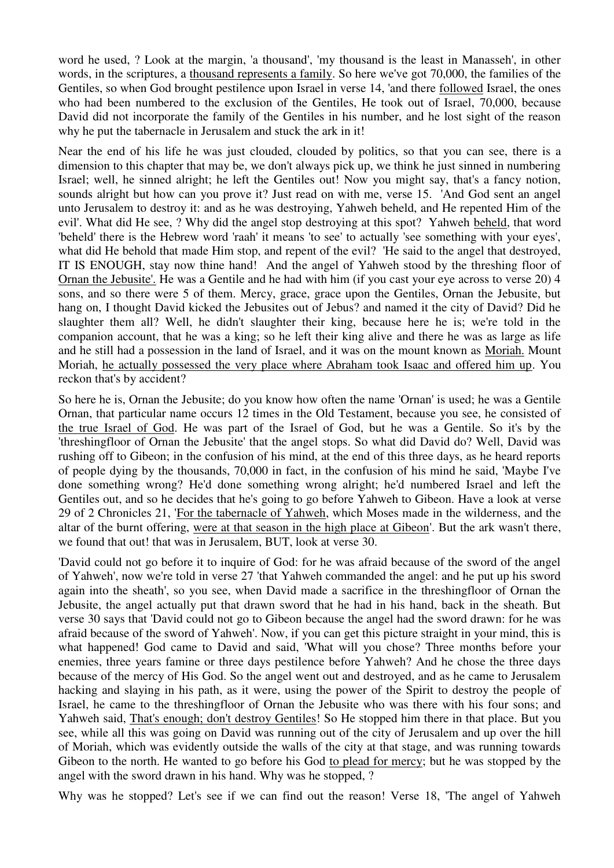word he used, ? Look at the margin, 'a thousand', 'my thousand is the least in Manasseh', in other words, in the scriptures, a thousand represents a family. So here we've got 70,000, the families of the Gentiles, so when God brought pestilence upon Israel in verse 14, 'and there followed Israel, the ones who had been numbered to the exclusion of the Gentiles, He took out of Israel, 70,000, because David did not incorporate the family of the Gentiles in his number, and he lost sight of the reason why he put the tabernacle in Jerusalem and stuck the ark in it!

Near the end of his life he was just clouded, clouded by politics, so that you can see, there is a dimension to this chapter that may be, we don't always pick up, we think he just sinned in numbering Israel; well, he sinned alright; he left the Gentiles out! Now you might say, that's a fancy notion, sounds alright but how can you prove it? Just read on with me, verse 15. 'And God sent an angel unto Jerusalem to destroy it: and as he was destroying, Yahweh beheld, and He repented Him of the evil'. What did He see, ? Why did the angel stop destroying at this spot? Yahweh beheld, that word 'beheld' there is the Hebrew word 'raah' it means 'to see' to actually 'see something with your eyes', what did He behold that made Him stop, and repent of the evil? 'He said to the angel that destroyed, IT IS ENOUGH, stay now thine hand! And the angel of Yahweh stood by the threshing floor of Ornan the Jebusite'. He was a Gentile and he had with him (if you cast your eye across to verse 20) 4 sons, and so there were 5 of them. Mercy, grace, grace upon the Gentiles, Ornan the Jebusite, but hang on, I thought David kicked the Jebusites out of Jebus? and named it the city of David? Did he slaughter them all? Well, he didn't slaughter their king, because here he is; we're told in the companion account, that he was a king; so he left their king alive and there he was as large as life and he still had a possession in the land of Israel, and it was on the mount known as Moriah. Mount Moriah, he actually possessed the very place where Abraham took Isaac and offered him up. You reckon that's by accident?

So here he is, Ornan the Jebusite; do you know how often the name 'Ornan' is used; he was a Gentile Ornan, that particular name occurs 12 times in the Old Testament, because you see, he consisted of the true Israel of God. He was part of the Israel of God, but he was a Gentile. So it's by the 'threshingfloor of Ornan the Jebusite' that the angel stops. So what did David do? Well, David was rushing off to Gibeon; in the confusion of his mind, at the end of this three days, as he heard reports of people dying by the thousands, 70,000 in fact, in the confusion of his mind he said, 'Maybe I've done something wrong? He'd done something wrong alright; he'd numbered Israel and left the Gentiles out, and so he decides that he's going to go before Yahweh to Gibeon. Have a look at verse 29 of 2 Chronicles 21, 'For the tabernacle of Yahweh, which Moses made in the wilderness, and the altar of the burnt offering, were at that season in the high place at Gibeon'. But the ark wasn't there, we found that out! that was in Jerusalem, BUT, look at verse 30.

'David could not go before it to inquire of God: for he was afraid because of the sword of the angel of Yahweh', now we're told in verse 27 'that Yahweh commanded the angel: and he put up his sword again into the sheath', so you see, when David made a sacrifice in the threshingfloor of Ornan the Jebusite, the angel actually put that drawn sword that he had in his hand, back in the sheath. But verse 30 says that 'David could not go to Gibeon because the angel had the sword drawn: for he was afraid because of the sword of Yahweh'. Now, if you can get this picture straight in your mind, this is what happened! God came to David and said, 'What will you chose? Three months before your enemies, three years famine or three days pestilence before Yahweh? And he chose the three days because of the mercy of His God. So the angel went out and destroyed, and as he came to Jerusalem hacking and slaying in his path, as it were, using the power of the Spirit to destroy the people of Israel, he came to the threshingfloor of Ornan the Jebusite who was there with his four sons; and Yahweh said, That's enough; don't destroy Gentiles! So He stopped him there in that place. But you see, while all this was going on David was running out of the city of Jerusalem and up over the hill of Moriah, which was evidently outside the walls of the city at that stage, and was running towards Gibeon to the north. He wanted to go before his God to plead for mercy; but he was stopped by the angel with the sword drawn in his hand. Why was he stopped, ?

Why was he stopped? Let's see if we can find out the reason! Verse 18, 'The angel of Yahweh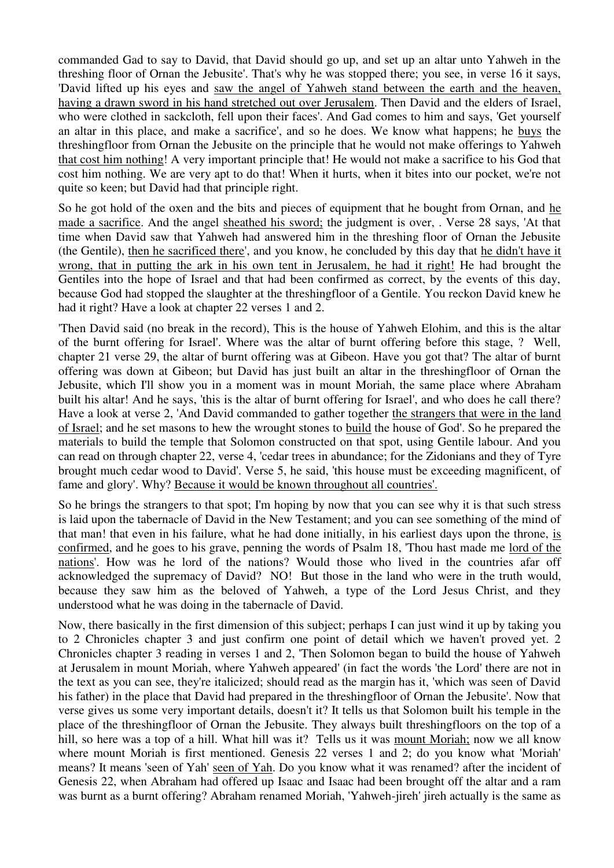commanded Gad to say to David, that David should go up, and set up an altar unto Yahweh in the threshing floor of Ornan the Jebusite'. That's why he was stopped there; you see, in verse 16 it says, 'David lifted up his eyes and saw the angel of Yahweh stand between the earth and the heaven, having a drawn sword in his hand stretched out over Jerusalem. Then David and the elders of Israel, who were clothed in sackcloth, fell upon their faces'. And Gad comes to him and says, 'Get yourself an altar in this place, and make a sacrifice', and so he does. We know what happens; he buys the threshingfloor from Ornan the Jebusite on the principle that he would not make offerings to Yahweh that cost him nothing! A very important principle that! He would not make a sacrifice to his God that cost him nothing. We are very apt to do that! When it hurts, when it bites into our pocket, we're not quite so keen; but David had that principle right.

So he got hold of the oxen and the bits and pieces of equipment that he bought from Ornan, and he made a sacrifice. And the angel sheathed his sword; the judgment is over, . Verse 28 says, 'At that time when David saw that Yahweh had answered him in the threshing floor of Ornan the Jebusite (the Gentile), then he sacrificed there', and you know, he concluded by this day that he didn't have it wrong, that in putting the ark in his own tent in Jerusalem, he had it right! He had brought the Gentiles into the hope of Israel and that had been confirmed as correct, by the events of this day, because God had stopped the slaughter at the threshingfloor of a Gentile. You reckon David knew he had it right? Have a look at chapter 22 verses 1 and 2.

'Then David said (no break in the record), This is the house of Yahweh Elohim, and this is the altar of the burnt offering for Israel'. Where was the altar of burnt offering before this stage, ? Well, chapter 21 verse 29, the altar of burnt offering was at Gibeon. Have you got that? The altar of burnt offering was down at Gibeon; but David has just built an altar in the threshingfloor of Ornan the Jebusite, which I'll show you in a moment was in mount Moriah, the same place where Abraham built his altar! And he says, 'this is the altar of burnt offering for Israel', and who does he call there? Have a look at verse 2, 'And David commanded to gather together the strangers that were in the land of Israel; and he set masons to hew the wrought stones to build the house of God'. So he prepared the materials to build the temple that Solomon constructed on that spot, using Gentile labour. And you can read on through chapter 22, verse 4, 'cedar trees in abundance; for the Zidonians and they of Tyre brought much cedar wood to David'. Verse 5, he said, 'this house must be exceeding magnificent, of fame and glory'. Why? Because it would be known throughout all countries'.

So he brings the strangers to that spot; I'm hoping by now that you can see why it is that such stress is laid upon the tabernacle of David in the New Testament; and you can see something of the mind of that man! that even in his failure, what he had done initially, in his earliest days upon the throne, is confirmed, and he goes to his grave, penning the words of Psalm 18, 'Thou hast made me lord of the nations'. How was he lord of the nations? Would those who lived in the countries afar off acknowledged the supremacy of David? NO! But those in the land who were in the truth would, because they saw him as the beloved of Yahweh, a type of the Lord Jesus Christ, and they understood what he was doing in the tabernacle of David.

Now, there basically in the first dimension of this subject; perhaps I can just wind it up by taking you to 2 Chronicles chapter 3 and just confirm one point of detail which we haven't proved yet. 2 Chronicles chapter 3 reading in verses 1 and 2, 'Then Solomon began to build the house of Yahweh at Jerusalem in mount Moriah, where Yahweh appeared' (in fact the words 'the Lord' there are not in the text as you can see, they're italicized; should read as the margin has it, 'which was seen of David his father) in the place that David had prepared in the threshingfloor of Ornan the Jebusite'. Now that verse gives us some very important details, doesn't it? It tells us that Solomon built his temple in the place of the threshingfloor of Ornan the Jebusite. They always built threshingfloors on the top of a hill, so here was a top of a hill. What hill was it? Tells us it was mount Moriah; now we all know where mount Moriah is first mentioned. Genesis 22 verses 1 and 2; do you know what 'Moriah' means? It means 'seen of Yah' seen of Yah. Do you know what it was renamed? after the incident of Genesis 22, when Abraham had offered up Isaac and Isaac had been brought off the altar and a ram was burnt as a burnt offering? Abraham renamed Moriah, 'Yahweh-jireh' jireh actually is the same as